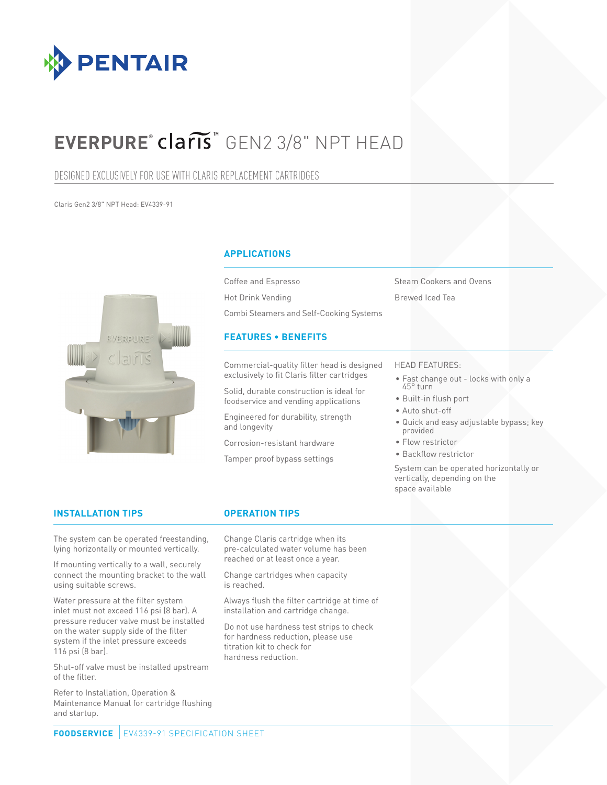

# **EVERPURE<sup>®</sup> Claris** GEN2 3/8" NPT HEAD

### DESIGNED EXCLUSIVELY FOR USE WITH CLARIS REPLACEMENT CARTRIDGES

Claris Gen2 3/8" NPT Head: EV4339-91



### **APPLICATIONS**

Coffee and Espresso Hot Drink Vending Combi Steamers and Self-Cooking Systems

### **FEATURES • BENEFITS**

Commercial-quality filter head is designed exclusively to fit Claris filter cartridges

Solid, durable construction is ideal for foodservice and vending applications

Engineered for durability, strength and longevity

Corrosion-resistant hardware

Tamper proof bypass settings

Steam Cookers and Ovens Brewed Iced Tea

### HEAD FEATURES:

- Fast change out locks with only a 45° turn
- Built-in flush port
- Auto shut-off
- Quick and easy adjustable bypass; key provided
- Flow restrictor
- Backflow restrictor

System can be operated horizontally or vertically, depending on the space available

### **INSTALLATION TIPS OPERATION TIPS**

The system can be operated freestanding, lying horizontally or mounted vertically.

If mounting vertically to a wall, securely connect the mounting bracket to the wall using suitable screws.

Water pressure at the filter system inlet must not exceed 116 psi (8 bar). A pressure reducer valve must be installed on the water supply side of the filter system if the inlet pressure exceeds 116 psi (8 bar).

Shut-off valve must be installed upstream of the filter.

Refer to Installation, Operation & Maintenance Manual for cartridge flushing and startup.

Change Claris cartridge when its pre-calculated water volume has been reached or at least once a year.

Change cartridges when capacity is reached.

Always flush the filter cartridge at time of installation and cartridge change.

Do not use hardness test strips to check for hardness reduction, please use titration kit to check for hardness reduction.